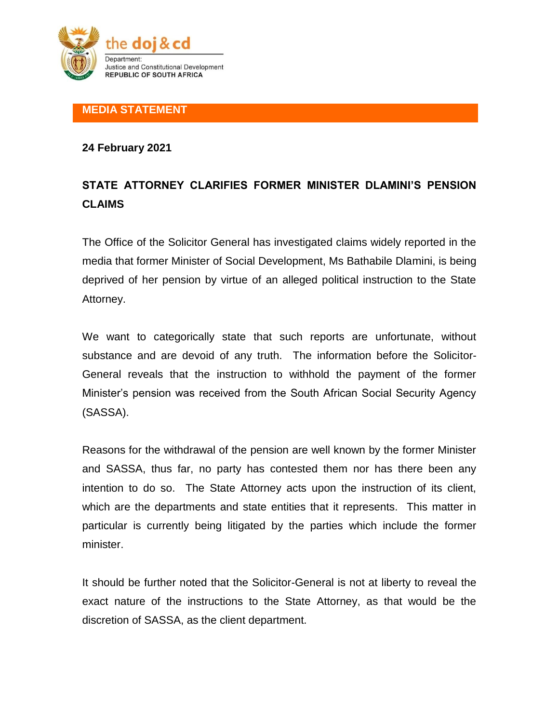

## **MEDIA STATEMENT**

## **24 February 2021**

## **STATE ATTORNEY CLARIFIES FORMER MINISTER DLAMINI'S PENSION CLAIMS**

The Office of the Solicitor General has investigated claims widely reported in the media that former Minister of Social Development, Ms Bathabile Dlamini, is being deprived of her pension by virtue of an alleged political instruction to the State Attorney.

We want to categorically state that such reports are unfortunate, without substance and are devoid of any truth. The information before the Solicitor-General reveals that the instruction to withhold the payment of the former Minister's pension was received from the South African Social Security Agency (SASSA).

Reasons for the withdrawal of the pension are well known by the former Minister and SASSA, thus far, no party has contested them nor has there been any intention to do so. The State Attorney acts upon the instruction of its client, which are the departments and state entities that it represents. This matter in particular is currently being litigated by the parties which include the former minister.

It should be further noted that the Solicitor-General is not at liberty to reveal the exact nature of the instructions to the State Attorney, as that would be the discretion of SASSA, as the client department.